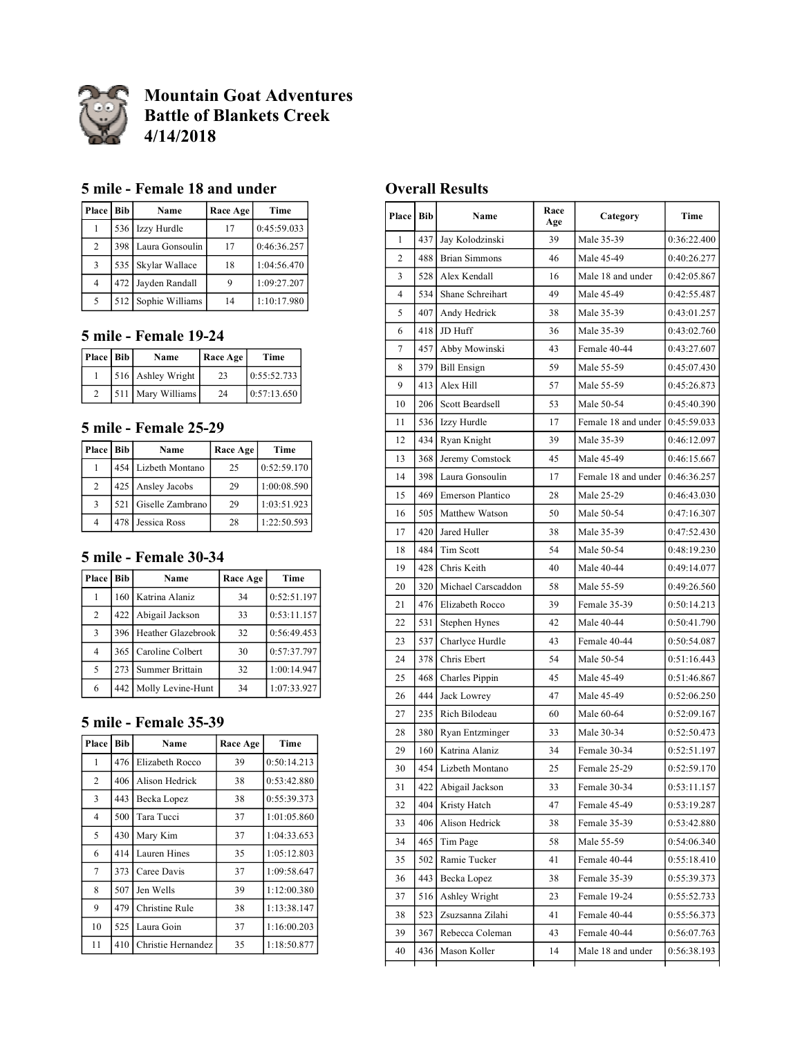

# **Mountain Goat Adventures Battle of Blankets Creek 4/14/2018**

#### **5 mile - Female 18 and under**

| Place   Bib    | Name                | Race Age | Time        |
|----------------|---------------------|----------|-------------|
|                | 536 Izzy Hurdle     | 17       | 0:45:59.033 |
| 2              | 398 Laura Gonsoulin | 17       | 0:46:36.257 |
| 3              | 535 Skylar Wallace  | 18       | 1:04:56.470 |
| $\overline{4}$ | 472 Jayden Randall  |          | 1:09:27.207 |
| 5              | 512 Sophie Williams | 14       | 1:10:17.980 |

### **5 mile - Female 19-24**

| Place   Bib | Name              | Race Age | Time        |
|-------------|-------------------|----------|-------------|
|             | 516 Ashley Wright | 23       | 0:55:52.733 |
|             | 511 Mary Williams | 24       | 0:57:13.650 |

#### **5 mile - Female 25-29**

| Place   Bib | Name                 | Race Age | Time        |  |
|-------------|----------------------|----------|-------------|--|
|             | 454 Lizbeth Montano  | 25       | 0:52:59.170 |  |
| 2           | 425 Ansley Jacobs    | 29       | 1:00:08.590 |  |
| 3           | 521 Giselle Zambrano | 29       | 1:03:51.923 |  |
| 4           | 478 Jessica Ross     | 28       | 1:22:50.593 |  |

### **5 mile - Female 30-34**

| Place   Bib    |     | Name                   | Race Age | Time        |
|----------------|-----|------------------------|----------|-------------|
|                |     | 160 Katrina Alaniz     | 34       | 0:52:51.197 |
| $\overline{2}$ |     | 422 Abigail Jackson    | 33       | 0:53:11.157 |
| 3              |     | 396 Heather Glazebrook | 32       | 0:56:49.453 |
| 4              |     | 365 Caroline Colbert   | 30       | 0:57:37.797 |
| 5              | 273 | Summer Brittain        | 32       | 1:00:14.947 |
| 6              |     | 442 Molly Levine-Hunt  | 34       | 1:07:33.927 |

# **5 mile - Female 35-39**

| Place          | Bib                                    | Name               | Race Age    | Time        |             |
|----------------|----------------------------------------|--------------------|-------------|-------------|-------------|
| 1              | 476                                    | Elizabeth Rocco    | 39          | 0:50:14.213 |             |
| $\overline{2}$ | 406                                    | Alison Hedrick     | 38          | 0:53:42.880 |             |
| 3              | 443                                    | Becka Lopez        | 38          | 0:55:39.373 |             |
| $\overline{4}$ | 500                                    | Tara Tucci         | 37          | 1:01:05.860 |             |
| 5              | 430<br>Mary Kim<br>414<br>Lauren Hines |                    | 37          | 1:04:33.653 |             |
| 6              |                                        |                    | 35          |             | 1:05:12.803 |
| 7              | 373<br>37<br>Caree Davis               |                    | 1:09:58.647 |             |             |
| 8              | 507                                    | Jen Wells          | 39          | 1:12:00.380 |             |
| 9              | 479<br>Christine Rule                  |                    |             | 38          | 1:13:38.147 |
| 10             | 525                                    | Laura Goin         | 37          | 1:16:00.203 |             |
| 11             | 410                                    | Christie Hernandez | 35          | 1:18:50.877 |             |

### **Overall Results**

| Place Bib      |     | Name                 | Race<br>Age | Category            | Time        |
|----------------|-----|----------------------|-------------|---------------------|-------------|
| 1              | 437 | Jay Kolodzinski      | 39          | Male 35-39          | 0:36:22.400 |
| $\overline{c}$ | 488 | <b>Brian Simmons</b> | 46          | Male 45-49          | 0:40:26.277 |
| 3              | 528 | Alex Kendall         | 16          | Male 18 and under   | 0:42:05.867 |
| $\overline{4}$ | 534 | Shane Schreihart     | 49          | Male 45-49          | 0:42:55.487 |
| 5              | 407 | Andy Hedrick         | 38          | Male 35-39          | 0:43:01.257 |
| 6              | 418 | JD Huff              | 36          | Male 35-39          | 0:43:02.760 |
| 7              | 457 | Abby Mowinski        | 43          | Female 40-44        | 0:43:27.607 |
| 8              | 379 | <b>Bill Ensign</b>   | 59          | Male 55-59          | 0:45:07.430 |
| 9              | 413 | Alex Hill            | 57          | Male 55-59          | 0:45:26.873 |
| 10             | 206 | Scott Beardsell      | 53          | Male 50-54          | 0:45:40.390 |
| 11             | 536 | Izzy Hurdle          | 17          | Female 18 and under | 0:45:59.033 |
| 12             | 434 | Ryan Knight          | 39          | Male 35-39          | 0:46:12.097 |
| 13             | 368 | Jeremy Comstock      | 45          | Male 45-49          | 0:46:15.667 |
| 14             | 398 | Laura Gonsoulin      | 17          | Female 18 and under | 0:46:36.257 |
| 15             | 469 | Emerson Plantico     | 28          | Male 25-29          | 0:46:43.030 |
| 16             | 505 | Matthew Watson       | 50          | Male 50-54          | 0:47:16.307 |
| 17             | 420 | Jared Huller         | 38          | Male 35-39          | 0:47:52.430 |
| 18             | 484 | Tim Scott            | 54          | Male 50-54          | 0:48:19.230 |
| 19             | 428 | Chris Keith          | 40          | Male 40-44          | 0:49:14.077 |
| 20             | 320 | Michael Carscaddon   | 58          | Male 55-59          | 0:49:26.560 |
| 21             | 476 | Elizabeth Rocco      | 39          | Female 35-39        | 0:50:14.213 |
| 22             | 531 | Stephen Hynes        | 42          | Male 40-44          | 0:50:41.790 |
| 23             | 537 | Charlyce Hurdle      | 43          | Female 40-44        | 0:50:54.087 |
| 24             | 378 | Chris Ebert          | 54          | Male 50-54          | 0:51:16.443 |
| 25             | 468 | Charles Pippin       | 45          | Male 45-49          | 0:51:46.867 |
| 26             | 444 | Jack Lowrey          | 47          | Male 45-49          | 0:52:06.250 |
| 27             | 235 | Rich Bilodeau        | 60          | Male 60-64          | 0:52:09.167 |
| 28             | 380 | Ryan Entzminger      | 33          | Male 30-34          | 0:52:50.473 |
| 29             | 160 | Katrina Alaniz       | 34          | Female 30-34        | 0:52:51.197 |
| 30             | 454 | Lizbeth Montano      | 25          | Female 25-29        | 0:52:59.170 |
| 31             | 422 | Abigail Jackson      | 33          | Female 30-34        | 0:53:11.157 |
| 32             | 404 | Kristy Hatch         | 47          | Female 45-49        | 0:53:19.287 |
| 33             | 406 | Alison Hedrick       | 38          | Female 35-39        | 0:53:42.880 |
| 34             | 465 | Tim Page             | 58          | Male 55-59          | 0:54:06.340 |
| 35             | 502 | Ramie Tucker         | 41          | Female 40-44        | 0:55:18.410 |
| 36             | 443 | Becka Lopez          | 38          | Female 35-39        | 0:55:39.373 |
| 37             | 516 | Ashley Wright        | 23          | Female 19-24        | 0:55:52.733 |
| 38             | 523 | Zsuzsanna Zilahi     | 41          | Female 40-44        | 0:55:56.373 |
| 39             | 367 | Rebecca Coleman      | 43          | Female 40-44        | 0:56:07.763 |
| 40             | 436 | Mason Koller         | 14          | Male 18 and under   | 0:56:38.193 |
|                |     |                      |             |                     |             |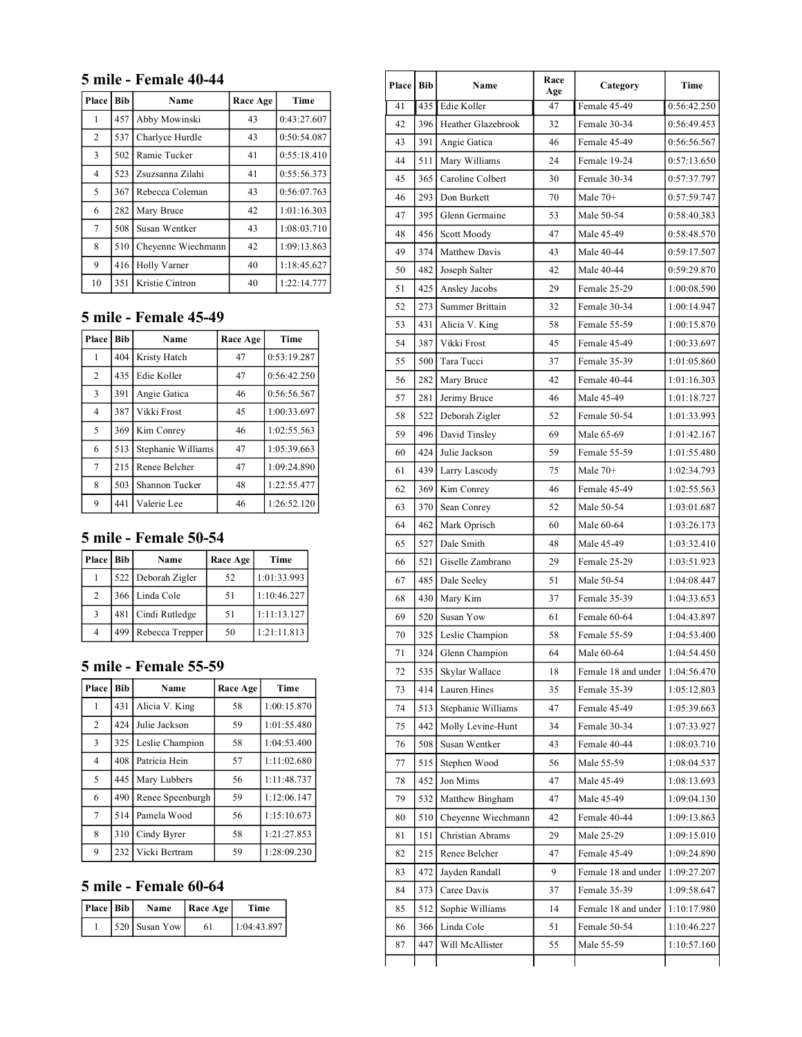### **5 mile - Female 40-44**

| Place          | <b>Bib</b> | Name               | Race Age | Time        |
|----------------|------------|--------------------|----------|-------------|
| 1              | 457        | Abby Mowinski      | 43       | 0:43:27.607 |
| $\overline{2}$ | 537        | Charlyce Hurdle    | 43       | 0:50:54.087 |
| 3              | 502        | Ramie Tucker       | 41       | 0:55:18.410 |
| $\overline{4}$ | 523        | Zsuzsanna Zilahi   | 41       | 0:55:56.373 |
| 5              | 367        | Rebecca Coleman    | 43       | 0:56:07.763 |
| 6              | 282        | Mary Bruce         | 42       | 1:01:16.303 |
| 7              | 508        | Susan Wentker      | 43       | 1:08:03.710 |
| 8              | 510        | Cheyenne Wiechmann | 42       | 1:09:13.863 |
| 9              | 416        | Holly Varner       | 40       | 1:18:45.627 |
| 10             | 351        | Kristie Cintron    | 40       | 1:22:14.777 |

# **5 mile - Female 45-49**

| Place          | <b>Bib</b> | Name               | Race Age | Time        |
|----------------|------------|--------------------|----------|-------------|
| 1              | 404        | Kristy Hatch       | 47       | 0:53:19.287 |
| $\overline{2}$ | 435        | Edie Koller        | 47       | 0:56:42.250 |
| 3              | 391        | Angie Gatica       | 46       | 0:56:56.567 |
| $\overline{4}$ | 387        | Vikki Frost        | 45       | 1:00:33.697 |
| 5              | 369        | Kim Conrey         | 46       | 1:02:55.563 |
| 6              | 513        | Stephanie Williams | 47       | 1:05:39.663 |
| 7              | 215        | Renee Belcher      | 47       | 1:09:24.890 |
| 8              | 503        | Shannon Tucker     | 48       | 1:22:55.477 |
| 9              | 441        | Valerie Lee        | 46       | 1:26:52.120 |

# **5 mile - Female 50-54**

| Place | Bib                | Name               | Race Age | Time        |
|-------|--------------------|--------------------|----------|-------------|
|       |                    | 522 Deborah Zigler | 52       | 1:01:33.993 |
| 2     |                    | 366 Linda Cole     | 51       | 1:10:46.227 |
| 3     | 481 Cindi Rutledge |                    | 51       | 1:11:13.127 |
|       | 499                | Rebecca Trepper    | 50       | 1:21:11.813 |

### **5 mile - Female 55-59**

| Place          | <b>Bib</b> | Name             | Race Age | Time        |
|----------------|------------|------------------|----------|-------------|
| 1              | 431        | Alicia V. King   | 58       | 1:00:15.870 |
| 2              | 424        | Julie Jackson    | 59       | 1:01:55.480 |
| 3              | 325        | Leslie Champion  | 58       | 1:04:53.400 |
| 4              | 408        | Patricia Hein    | 57       | 1:11:02.680 |
| 5              | 445        | Mary Lubbers     | 56       | 1:11:48.737 |
| 6              | 490        | Renee Speenburgh | 59       | 1:12:06.147 |
| $\overline{7}$ | 514        | Pamela Wood      | 56       | 1:15:10.673 |
| 8              | 310        | Cindy Byrer      | 58       | 1:21:27.853 |
| 9              | 232        | Vicki Bertram    | 59       | 1:28:09.230 |

# **5 mile - Female 60-64**

| Place   Bib | <b>Name</b>   | Race Age | Time        |
|-------------|---------------|----------|-------------|
|             | 520 Susan Yow | 61       | 1:04:43.897 |

| Place | Bib | Name               | Race<br>Age | Category            | Time        |
|-------|-----|--------------------|-------------|---------------------|-------------|
| 41    | 435 | Edie Koller        | 47          | Female 45-49        | 0:56:42.250 |
| 42    | 396 | Heather Glazebrook | 32          | Female 30-34        | 0:56:49.453 |
| 43    | 391 | Angie Gatica       | 46          | Female 45-49        | 0:56:56.567 |
| 44    | 511 | Mary Williams      | 24          | Female 19-24        | 0:57:13.650 |
| 45    | 365 | Caroline Colbert   | 30          | Female 30-34        | 0:57:37.797 |
| 46    | 293 | Don Burkett        | 70          | Male $70+$          | 0:57:59.747 |
| 47    | 395 | Glenn Germaine     | 53          | Male 50-54          | 0:58:40.383 |
| 48    | 456 | Scott Moody        | 47          | Male 45-49          | 0:58:48.570 |
| 49    | 374 | Matthew Davis      | 43          | Male 40-44          | 0:59:17.507 |
| 50    | 482 | Joseph Salter      | 42          | Male 40-44          | 0:59:29.870 |
| 51    | 425 | Ansley Jacobs      | 29          | Female 25-29        | 1:00:08.590 |
| 52    | 273 | Summer Brittain    | 32          | Female 30-34        | 1:00:14.947 |
| 53    | 431 | Alicia V. King     | 58          | Female 55-59        | 1:00:15.870 |
| 54    | 387 | Vikki Frost        | 45          | Female 45-49        | 1:00:33.697 |
| 55    | 500 | Tara Tucci         | 37          | Female 35-39        | 1:01:05.860 |
| 56    | 282 | Mary Bruce         | 42          | Female 40-44        | 1:01:16.303 |
| 57    | 281 | Jerimy Bruce       | 46          | Male 45-49          | 1:01:18.727 |
| 58    | 522 | Deborah Zigler     | 52          | Female 50-54        | 1:01:33.993 |
| 59    | 496 | David Tinsley      | 69          | Male 65-69          | 1:01:42.167 |
| 60    | 424 | Julie Jackson      | 59          | Female 55-59        | 1:01:55.480 |
| 61    | 439 | Larry Lascody      | 75          | Male $70+$          | 1:02:34.793 |
| 62    | 369 | Kim Conrey         | 46          | Female 45-49        | 1:02:55.563 |
| 63    | 370 | Sean Conrey        | 52          | Male 50-54          | 1:03:01.687 |
| 64    | 462 | Mark Oprisch       | 60          | Male 60-64          | 1:03:26.173 |
| 65    | 527 | Dale Smith         | 48          | Male 45-49          | 1:03:32.410 |
| 66    | 521 | Giselle Zambrano   | 29          | Female 25-29        | 1:03:51.923 |
| 67    | 485 | Dale Seeley        | 51          | Male 50-54          | 1:04:08.447 |
| 68    | 430 | Mary Kim           | 37          | Female 35-39        | 1:04:33.653 |
| 69    | 520 | Susan Yow          | 61          | Female 60-64        | 1:04:43.897 |
| 70    | 325 | Leslie Champion    | 58          | Female 55-59        | 1:04:53.400 |
| 71    |     | 324 Glenn Champion | 64          | Male 60-64          | 1:04:54.450 |
| 72    | 535 | Skylar Wallace     | 18          | Female 18 and under | 1:04:56.470 |
| 73    | 414 | Lauren Hines       | 35          | Female 35-39        | 1:05:12.803 |
| 74    | 513 | Stephanie Williams | 47          | Female 45-49        | 1:05:39.663 |
| 75    | 442 | Molly Levine-Hunt  | 34          | Female 30-34        | 1:07:33.927 |
| 76    | 508 | Susan Wentker      | 43          | Female 40-44        | 1:08:03.710 |
| 77    | 515 | Stephen Wood       | 56          | Male 55-59          | 1:08:04.537 |
| 78    | 452 | Jon Mims           | 47          | Male 45-49          | 1:08:13.693 |
| 79    | 532 | Matthew Bingham    | 47          | Male 45-49          | 1:09:04.130 |
| 80    | 510 | Cheyenne Wiechmann | 42          | Female 40-44        | 1:09:13.863 |
| 81    | 151 | Christian Abrams   | 29          | Male 25-29          | 1:09:15.010 |
| 82    | 215 | Renee Belcher      | 47          | Female 45-49        | 1:09:24.890 |
| 83    | 472 | Jayden Randall     | 9           | Female 18 and under | 1:09:27.207 |
| 84    | 373 | Caree Davis        | 37          | Female 35-39        | 1:09:58.647 |
| 85    | 512 | Sophie Williams    | 14          | Female 18 and under | 1:10:17.980 |
| 86    | 366 | Linda Cole         | 51          | Female 50-54        | 1:10:46.227 |
| 87    | 447 | Will McAllister    | 55          | Male 55-59          | 1:10:57.160 |
|       |     |                    |             |                     |             |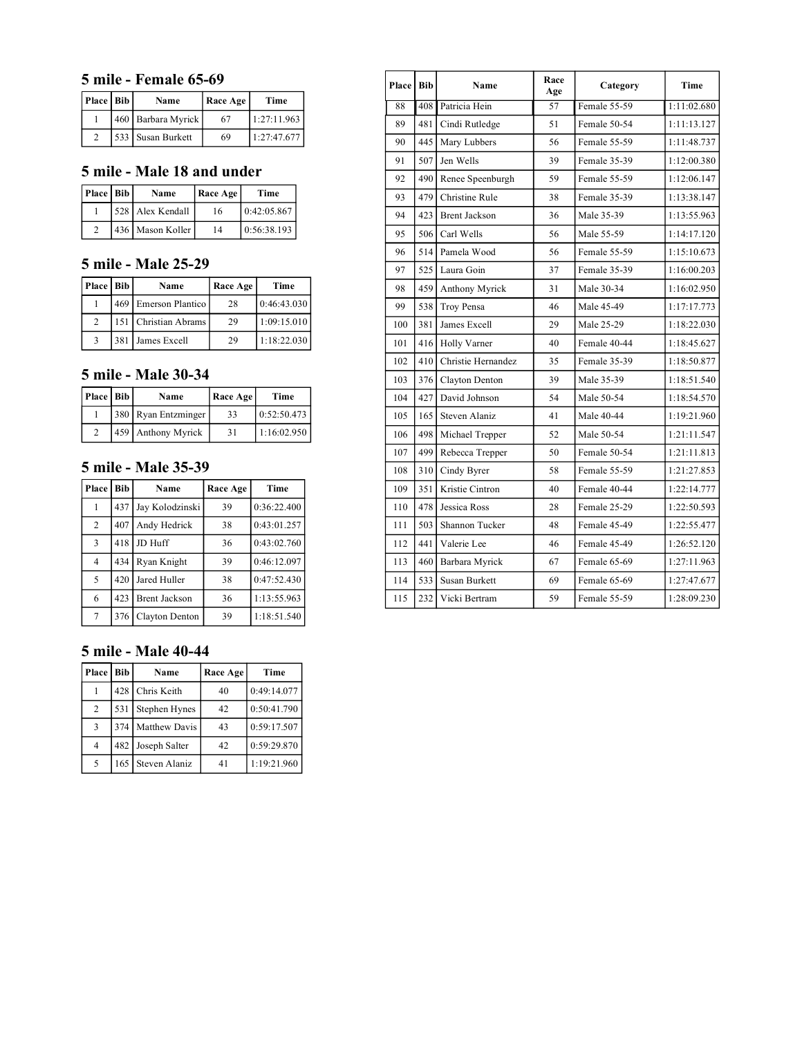#### **5 mile - Female 65-69**

| Place   Bib | Name                 | Race Age | Time        |
|-------------|----------------------|----------|-------------|
|             | 460   Barbara Myrick | 67       | 1:27:11.963 |
|             | 1533 l Susan Burkett | 69       | 1:27:47.677 |

#### **5 mile - Male 18 and under**

| Place   Bib | Name                | Race Age | Time        |
|-------------|---------------------|----------|-------------|
|             | 1528   Alex Kendall | 16       | 0.42:05.867 |
|             | 436 Mason Koller    | 14       | 0.56:38.193 |

#### **5 mile - Male 25-29**

| Place   Bib                 | Name                 | Race Age | Time        |
|-----------------------------|----------------------|----------|-------------|
|                             | 469 Emerson Plantico | 28       | 0:46:43.030 |
| $\mathcal{D}_{\mathcal{A}}$ | 151 Christian Abrams | 29       | 1:09:15.010 |
| 3                           | 381 James Excell     | 29       | 1:18:22.030 |

#### **5 mile - Male 30-34**

| Place   Bib | Name                | Race Age | Time        |
|-------------|---------------------|----------|-------------|
|             | 380 Ryan Entzminger | 33       | 0:52:50.473 |
|             | 459 Anthony Myrick  | 31       | 1:16:02.950 |

#### **5 mile - Male 35-39**

| Place | Bib | Name                 | Race Age | Time        |
|-------|-----|----------------------|----------|-------------|
|       | 437 | Jay Kolodzinski      | 39       | 0:36:22.400 |
| 2     | 407 | Andy Hedrick         | 38       | 0:43:01.257 |
| 3     | 418 | JD Huff              | 36       | 0:43:02.760 |
| 4     | 434 | Ryan Knight          | 39       | 0:46:12.097 |
| 5     | 420 | Jared Huller         | 38       | 0:47:52.430 |
| 6     | 423 | <b>Brent Jackson</b> | 36       | 1:13:55.963 |
| 7     | 376 | Clayton Denton       | 39       | 1:18:51.540 |

### 91 | 507 | Jen Wells | 39 | Female 35-39 | 1:12:00.380 92 490 Renee Speenburgh 59 Female 55-59 1:12:06.147 93 479 Christine Rule 1 38 Female 35-39 1:13:38.147 94 423 Brent Jackson 36 Male 35-39 1:13:55.963 95 | 506 | Carl Wells | 50 | Male 55-59 | 1:14:17.120 96 | 514 | Pamela Wood | 56 | Female 55-59 | 1:15:10.673 97 | 525 | Laura Goin | 37 | Female 35-39 | 1:16:00.203 98 459 Anthony Myrick 31 Male 30-34 1:16:02.950 99 | 538 | Troy Pensa | 46 | Male 45-49 | 1:17:17.773 100 381 James Excell 29 Male 25-29 1:18:22.030 101 | 416 | Holly Varner | 40 | Female 40-44 | 1:18:45.627 102 410 Christie Hernandez 35 Female 35-39 1:18:50.877 103 376 Clayton Denton 39 Male 35-39 1:18:51.540 104 427 David Johnson 154 Male 50-54 1:18:54.570 105 | 165 | Steven Alaniz | 41 | Male 40-44 | 1:19:21.960 106 498 Michael Trepper 52 Male 50-54 1:21:11.547 107 499 Rebecca Trepper 50 Female 50-54 1:21:11.813 108 310 Cindy Byrer 58 Female 55-59 1:21:27.853 109 351 Kristie Cintron 140 Female 40-44 1:22:14.777 110 478 Jessica Ross 28 Female 25-29 1:22:50.593 111 | 503 | Shannon Tucker | 48 | Female 45-49 | 1:22:55.477 112 441 Valerie Lee 146 Female 45-49 1:26:52.120 113 460 Barbara Myrick 67 Female 65-69 1:27:11.963 114 | 533 | Susan Burkett 69 | Female 65-69 | 1:27:47.677 115 232 Vicki Bertram 59 Female 55-59 1:28:09.230

88 408 Patricia Hein 57 Female 55-59 1:11:02.680 89 | 481 | Cindi Rutledge | 51 | Female 50-54 | 1:11:13.127 90 445 Mary Lubbers 56 Female 55-59 1:11:48.737

**Age Category Time**

**Place Bib Name Race Race Age** 

### **5 mile - Male 40-44**

| Place | <b>Bib</b> | Name          | Race Age | Time        |
|-------|------------|---------------|----------|-------------|
|       | 428        | Chris Keith   | 40       | 0:49:14.077 |
| 2     | 531        | Stephen Hynes | 42       | 0:50:41.790 |
| 3     | 374        | Matthew Davis | 43       | 0:59:17.507 |
| 4     | 482        | Joseph Salter | 42       | 0:59:29.870 |
| 5     | 165        | Steven Alaniz | 41       | 1:19:21.960 |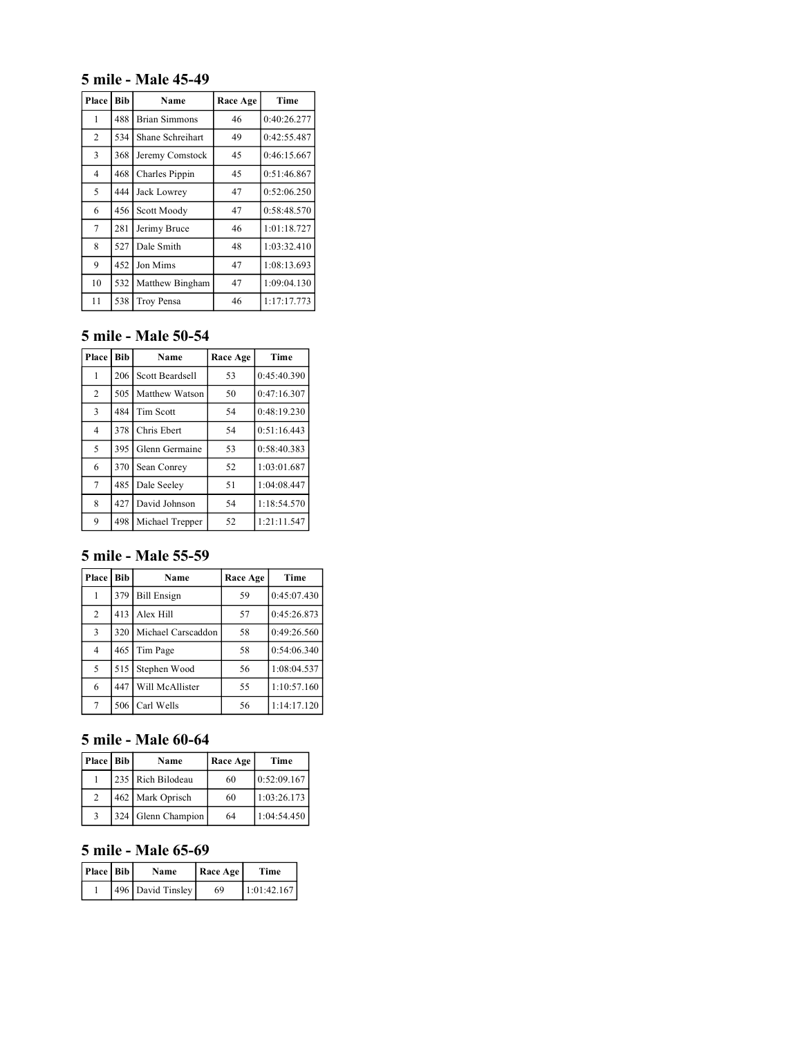### **5 mile - Male 45-49**

| Place          | <b>Bib</b> | Name                 | Race Age | Time        |
|----------------|------------|----------------------|----------|-------------|
| 1              | 488        | <b>Brian Simmons</b> | 46       | 0:40:26.277 |
| $\overline{2}$ | 534        | Shane Schreihart     | 49       | 0:42:55.487 |
| 3              | 368        | Jeremy Comstock      | 45       | 0:46:15.667 |
| $\overline{4}$ | 468        | Charles Pippin       | 45       | 0:51:46.867 |
| 5              | 444        | Jack Lowrey          | 47       | 0:52:06.250 |
| 6              | 456        | Scott Moody          | 47       | 0:58:48.570 |
| $\tau$         | 281        | Jerimy Bruce         | 46       | 1:01:18.727 |
| 8              | 527        | Dale Smith           | 48       | 1:03:32.410 |
| 9              | 452        | Jon Mims             | 47       | 1:08:13.693 |
| 10             | 532        | Matthew Bingham      | 47       | 1:09:04.130 |
| 11             | 538        | Troy Pensa           | 46       | 1:17:17.773 |

### **5 mile - Male 50-54**

| Place          | <b>Bib</b> | Name            | Race Age | Time        |
|----------------|------------|-----------------|----------|-------------|
| 1              | 206        | Scott Beardsell | 53       | 0:45:40.390 |
| $\overline{c}$ | 505        | Matthew Watson  | 50       | 0:47:16.307 |
| 3              | 484        | Tim Scott       | 54       | 0:48:19.230 |
| $\overline{4}$ | 378        | Chris Ebert     | 54       | 0:51:16.443 |
| 5              | 395        | Glenn Germaine  | 53       | 0:58:40.383 |
| 6              | 370        | Sean Conrey     | 52       | 1:03:01.687 |
| $\overline{7}$ | 485        | Dale Seeley     | 51       | 1:04:08.447 |
| 8              | 427        | David Johnson   | 54       | 1:18:54.570 |
| 9              | 498        | Michael Trepper | 52       | 1:21:11.547 |

### **5 mile - Male 55-59**

| Place          | <b>Bib</b> | Name               | Race Age | Time        |
|----------------|------------|--------------------|----------|-------------|
|                | 379        | <b>Bill Ensign</b> | 59       | 0:45:07.430 |
| $\overline{2}$ | 413        | Alex Hill          | 57       | 0:45:26.873 |
| 3              | 320        | Michael Carscaddon | 58       | 0:49:26.560 |
| $\overline{4}$ | 465        | Tim Page           | 58       | 0:54:06.340 |
| 5              | 515        | Stephen Wood       | 56       | 1:08:04.537 |
| 6              | 447        | Will McAllister    | 55       | 1:10:57.160 |
|                | 506 l      | Carl Wells         | 56       | 1:14:17.120 |

# **5 mile - Male 60-64**

| Place   Bib |     | Name              | Race Age | Time        |
|-------------|-----|-------------------|----------|-------------|
|             |     | 235 Rich Bilodeau | 60       | 0:52:09.167 |
| 2           |     | 462 Mark Oprisch  | 60       | 1:03:26.173 |
|             | 324 | Glenn Champion    | 64       | 1:04:54.450 |

### **5 mile - Male 65-69**

| Place   Bib | Name              | Race Age | Time        |
|-------------|-------------------|----------|-------------|
|             | 496 David Tinsley | 69       | 1:01:42.167 |